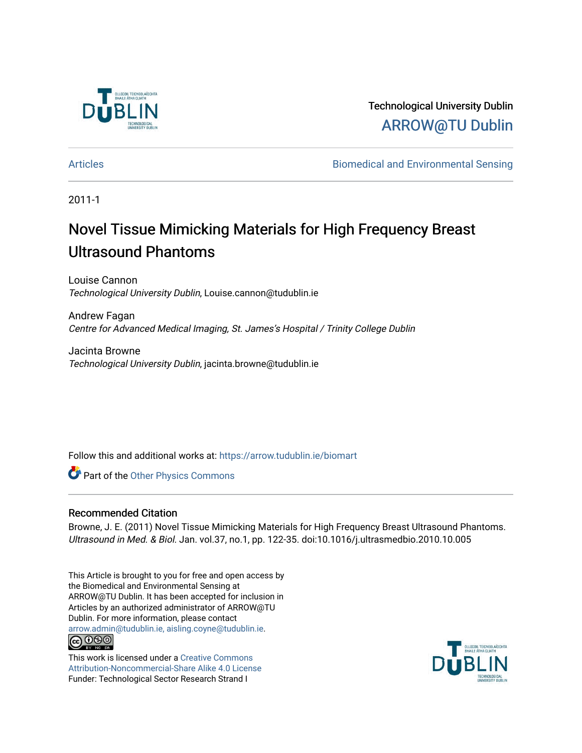

Technological University Dublin [ARROW@TU Dublin](https://arrow.tudublin.ie/) 

[Articles](https://arrow.tudublin.ie/biomart) [Biomedical and Environmental Sensing](https://arrow.tudublin.ie/biom) 

2011-1

## Novel Tissue Mimicking Materials for High Frequency Breast Ultrasound Phantoms

Louise Cannon Technological University Dublin, Louise.cannon@tudublin.ie

Andrew Fagan Centre for Advanced Medical Imaging, St. James's Hospital / Trinity College Dublin

Jacinta Browne Technological University Dublin, jacinta.browne@tudublin.ie

Follow this and additional works at: [https://arrow.tudublin.ie/biomart](https://arrow.tudublin.ie/biomart?utm_source=arrow.tudublin.ie%2Fbiomart%2F4&utm_medium=PDF&utm_campaign=PDFCoverPages) 

Part of the [Other Physics Commons](http://network.bepress.com/hgg/discipline/207?utm_source=arrow.tudublin.ie%2Fbiomart%2F4&utm_medium=PDF&utm_campaign=PDFCoverPages)

#### Recommended Citation

Browne, J. E. (2011) Novel Tissue Mimicking Materials for High Frequency Breast Ultrasound Phantoms. Ultrasound in Med. & Biol. Jan. vol.37, no.1, pp. 122-35. doi:10.1016/j.ultrasmedbio.2010.10.005

This Article is brought to you for free and open access by the Biomedical and Environmental Sensing at ARROW@TU Dublin. It has been accepted for inclusion in Articles by an authorized administrator of ARROW@TU Dublin. For more information, please contact [arrow.admin@tudublin.ie, aisling.coyne@tudublin.ie](mailto:arrow.admin@tudublin.ie,%20aisling.coyne@tudublin.ie). **@@@** 

This work is licensed under a [Creative Commons](http://creativecommons.org/licenses/by-nc-sa/4.0/) [Attribution-Noncommercial-Share Alike 4.0 License](http://creativecommons.org/licenses/by-nc-sa/4.0/) Funder: Technological Sector Research Strand I

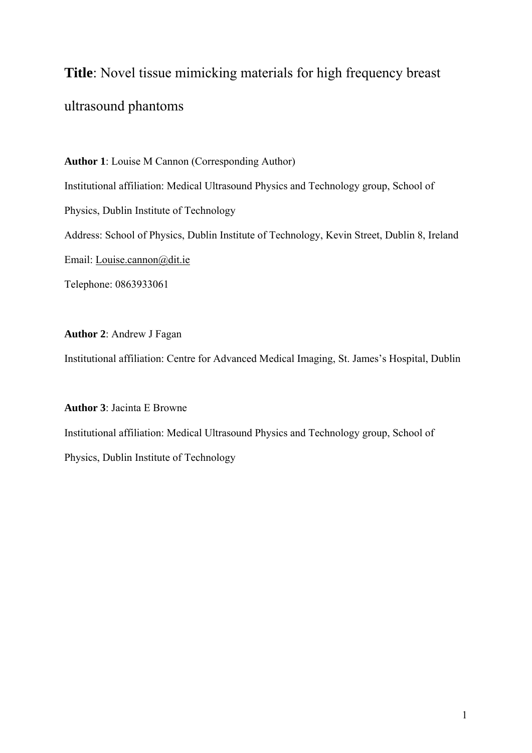# **Title**: Novel tissue mimicking materials for high frequency breast ultrasound phantoms

**Author 1**: Louise M Cannon (Corresponding Author) Institutional affiliation: Medical Ultrasound Physics and Technology group, School of Physics, Dublin Institute of Technology Address: School of Physics, Dublin Institute of Technology, Kevin Street, Dublin 8, Ireland Email: [Louise.cannon@dit.ie](mailto:Louise.cannon@dit.ie)  Telephone: 0863933061

#### **Author 2**: Andrew J Fagan

Institutional affiliation: Centre for Advanced Medical Imaging, St. James's Hospital, Dublin

#### **Author 3**: Jacinta E Browne

Institutional affiliation: Medical Ultrasound Physics and Technology group, School of Physics, Dublin Institute of Technology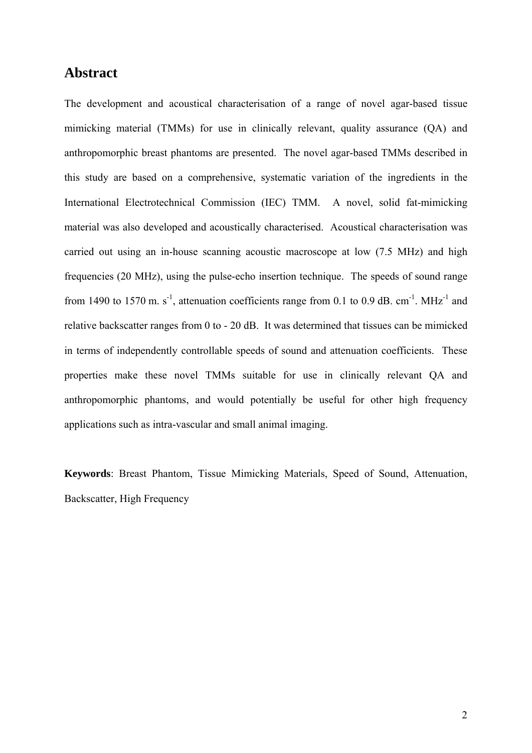## **Abstract**

The development and acoustical characterisation of a range of novel agar-based tissue mimicking material (TMMs) for use in clinically relevant, quality assurance (QA) and anthropomorphic breast phantoms are presented. The novel agar-based TMMs described in this study are based on a comprehensive, systematic variation of the ingredients in the International Electrotechnical Commission (IEC) TMM. A novel, solid fat-mimicking material was also developed and acoustically characterised. Acoustical characterisation was carried out using an in-house scanning acoustic macroscope at low (7.5 MHz) and high frequencies (20 MHz), using the pulse-echo insertion technique. The speeds of sound range from 1490 to 1570 m. s<sup>-1</sup>, attenuation coefficients range from 0.1 to 0.9 dB, cm<sup>-1</sup>. MHz<sup>-1</sup> and relative backscatter ranges from 0 to - 20 dB. It was determined that tissues can be mimicked in terms of independently controllable speeds of sound and attenuation coefficients. These properties make these novel TMMs suitable for use in clinically relevant QA and anthropomorphic phantoms, and would potentially be useful for other high frequency applications such as intra-vascular and small animal imaging.

**Keywords**: Breast Phantom, Tissue Mimicking Materials, Speed of Sound, Attenuation, Backscatter, High Frequency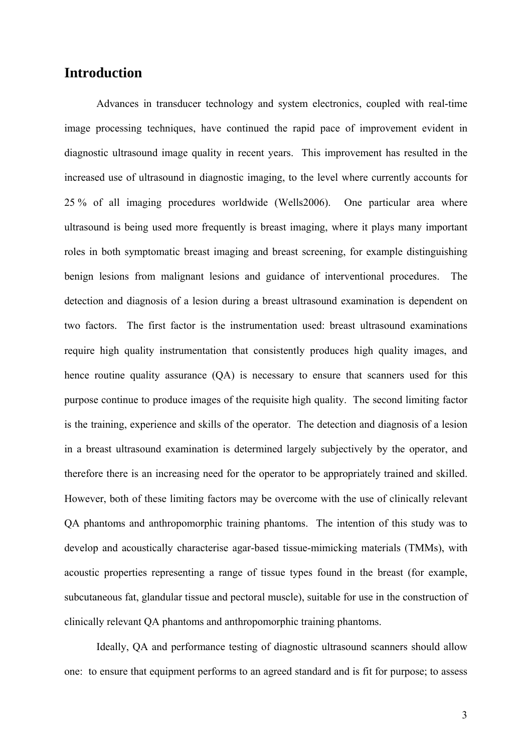## **Introduction**

Advances in transducer technology and system electronics, coupled with real-time image processing techniques, have continued the rapid pace of improvement evident in diagnostic ultrasound image quality in recent years. This improvement has resulted in the increased use of ultrasound in diagnostic imaging, to the level where currently accounts for 25 % of all imaging procedures worldwide (Wells2006). One particular area where ultrasound is being used more frequently is breast imaging, where it plays many important roles in both symptomatic breast imaging and breast screening, for example distinguishing benign lesions from malignant lesions and guidance of interventional procedures. The detection and diagnosis of a lesion during a breast ultrasound examination is dependent on two factors. The first factor is the instrumentation used: breast ultrasound examinations require high quality instrumentation that consistently produces high quality images, and hence routine quality assurance (QA) is necessary to ensure that scanners used for this purpose continue to produce images of the requisite high quality. The second limiting factor is the training, experience and skills of the operator. The detection and diagnosis of a lesion in a breast ultrasound examination is determined largely subjectively by the operator, and therefore there is an increasing need for the operator to be appropriately trained and skilled. However, both of these limiting factors may be overcome with the use of clinically relevant QA phantoms and anthropomorphic training phantoms. The intention of this study was to develop and acoustically characterise agar-based tissue-mimicking materials (TMMs), with acoustic properties representing a range of tissue types found in the breast (for example, subcutaneous fat, glandular tissue and pectoral muscle), suitable for use in the construction of clinically relevant QA phantoms and anthropomorphic training phantoms.

Ideally, QA and performance testing of diagnostic ultrasound scanners should allow one: to ensure that equipment performs to an agreed standard and is fit for purpose; to assess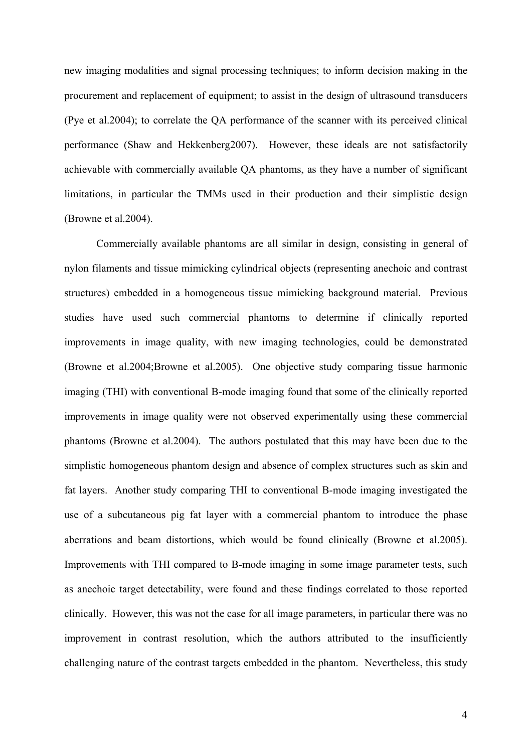new imaging modalities and signal processing techniques; to inform decision making in the procurement and replacement of equipment; to assist in the design of ultrasound transducers (Pye et al.2004); to correlate the QA performance of the scanner with its perceived clinical performance (Shaw and Hekkenberg2007). However, these ideals are not satisfactorily achievable with commercially available QA phantoms, as they have a number of significant limitations, in particular the TMMs used in their production and their simplistic design (Browne et al.2004).

Commercially available phantoms are all similar in design, consisting in general of nylon filaments and tissue mimicking cylindrical objects (representing anechoic and contrast structures) embedded in a homogeneous tissue mimicking background material. Previous studies have used such commercial phantoms to determine if clinically reported improvements in image quality, with new imaging technologies, could be demonstrated (Browne et al.2004;Browne et al.2005). One objective study comparing tissue harmonic imaging (THI) with conventional B-mode imaging found that some of the clinically reported improvements in image quality were not observed experimentally using these commercial phantoms (Browne et al.2004). The authors postulated that this may have been due to the simplistic homogeneous phantom design and absence of complex structures such as skin and fat layers. Another study comparing THI to conventional B-mode imaging investigated the use of a subcutaneous pig fat layer with a commercial phantom to introduce the phase aberrations and beam distortions, which would be found clinically (Browne et al.2005). Improvements with THI compared to B-mode imaging in some image parameter tests, such as anechoic target detectability, were found and these findings correlated to those reported clinically. However, this was not the case for all image parameters, in particular there was no improvement in contrast resolution, which the authors attributed to the insufficiently challenging nature of the contrast targets embedded in the phantom. Nevertheless, this study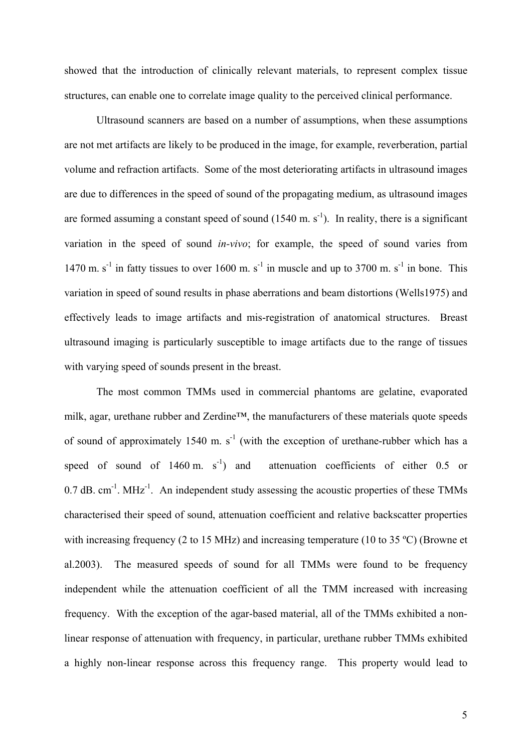showed that the introduction of clinically relevant materials, to represent complex tissue structures, can enable one to correlate image quality to the perceived clinical performance.

Ultrasound scanners are based on a number of assumptions, when these assumptions are not met artifacts are likely to be produced in the image, for example, reverberation, partial volume and refraction artifacts. Some of the most deteriorating artifacts in ultrasound images are due to differences in the speed of sound of the propagating medium, as ultrasound images are formed assuming a constant speed of sound  $(1540 \text{ m. s}^{-1})$ . In reality, there is a significant variation in the speed of sound *in-vivo*; for example, the speed of sound varies from 1470 m.  $s^{-1}$  in fatty tissues to over 1600 m.  $s^{-1}$  in muscle and up to 3700 m.  $s^{-1}$  in bone. This variation in speed of sound results in phase aberrations and beam distortions (Wells1975) and effectively leads to image artifacts and mis-registration of anatomical structures. Breast ultrasound imaging is particularly susceptible to image artifacts due to the range of tissues with varying speed of sounds present in the breast.

The most common TMMs used in commercial phantoms are gelatine, evaporated milk, agar, urethane rubber and Zerdine™, the manufacturers of these materials quote speeds of sound of approximately 1540 m.  $s<sup>-1</sup>$  (with the exception of urethane-rubber which has a speed of sound of 1460 m.  $s^{-1}$ ) and attenuation coefficients of either 0.5 or  $0.7$  dB. cm<sup>-1</sup>. MHz<sup>-1</sup>. An independent study assessing the acoustic properties of these TMMs characterised their speed of sound, attenuation coefficient and relative backscatter properties with increasing frequency (2 to 15 MHz) and increasing temperature (10 to 35 °C) (Browne et al.2003). The measured speeds of sound for all TMMs were found to be frequency independent while the attenuation coefficient of all the TMM increased with increasing frequency. With the exception of the agar-based material, all of the TMMs exhibited a nonlinear response of attenuation with frequency, in particular, urethane rubber TMMs exhibited a highly non-linear response across this frequency range. This property would lead to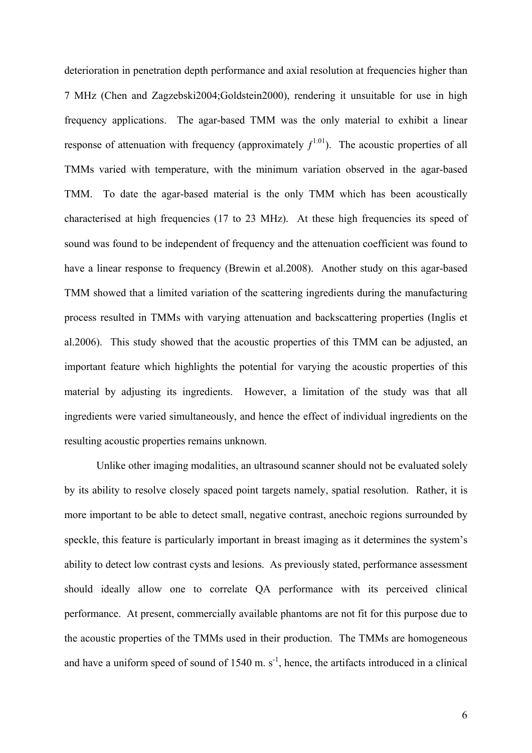deterioration in penetration depth performance and axial resolution at frequencies higher than 7 MHz (Chen and Zagzebski2004;Goldstein2000), rendering it unsuitable for use in high frequency applications. The agar-based TMM was the only material to exhibit a linear response of attenuation with frequency (approximately  $f^{1.01}$ ). The acoustic properties of all TMMs varied with temperature, with the minimum variation observed in the agar-based TMM. To date the agar-based material is the only TMM which has been acoustically characterised at high frequencies (17 to 23 MHz). At these high frequencies its speed of sound was found to be independent of frequency and the attenuation coefficient was found to have a linear response to frequency (Brewin et al.2008). Another study on this agar-based TMM showed that a limited variation of the scattering ingredients during the manufacturing process resulted in TMMs with varying attenuation and backscattering properties (Inglis et al.2006). This study showed that the acoustic properties of this TMM can be adjusted, an important feature which highlights the potential for varying the acoustic properties of this material by adjusting its ingredients. However, a limitation of the study was that all ingredients were varied simultaneously, and hence the effect of individual ingredients on the resulting acoustic properties remains unknown.

Unlike other imaging modalities, an ultrasound scanner should not be evaluated solely by its ability to resolve closely spaced point targets namely, spatial resolution. Rather, it is more important to be able to detect small, negative contrast, anechoic regions surrounded by speckle, this feature is particularly important in breast imaging as it determines the system's ability to detect low contrast cysts and lesions. As previously stated, performance assessment should ideally allow one to correlate QA performance with its perceived clinical performance. At present, commercially available phantoms are not fit for this purpose due to the acoustic properties of the TMMs used in their production. The TMMs are homogeneous and have a uniform speed of sound of  $1540 \text{ m}$ . s<sup>-1</sup>, hence, the artifacts introduced in a clinical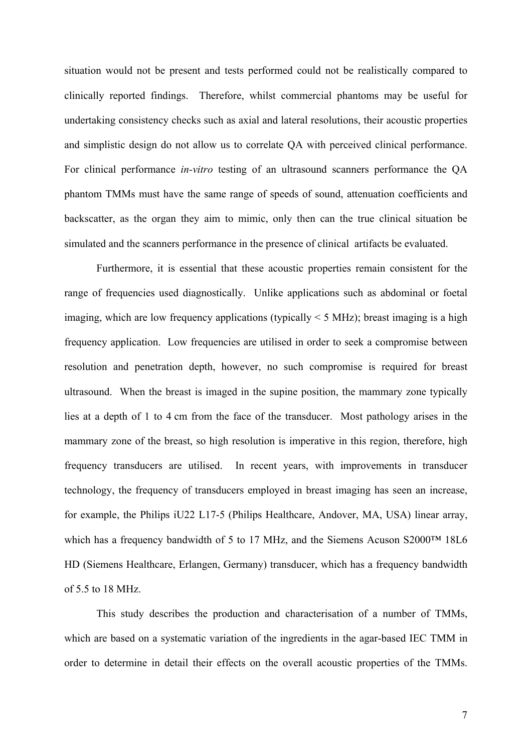situation would not be present and tests performed could not be realistically compared to clinically reported findings. Therefore, whilst commercial phantoms may be useful for undertaking consistency checks such as axial and lateral resolutions, their acoustic properties and simplistic design do not allow us to correlate QA with perceived clinical performance. For clinical performance *in-vitro* testing of an ultrasound scanners performance the QA phantom TMMs must have the same range of speeds of sound, attenuation coefficients and backscatter, as the organ they aim to mimic, only then can the true clinical situation be simulated and the scanners performance in the presence of clinical artifacts be evaluated.

Furthermore, it is essential that these acoustic properties remain consistent for the range of frequencies used diagnostically. Unlike applications such as abdominal or foetal imaging, which are low frequency applications (typically  $\leq$  5 MHz); breast imaging is a high frequency application. Low frequencies are utilised in order to seek a compromise between resolution and penetration depth, however, no such compromise is required for breast ultrasound. When the breast is imaged in the supine position, the mammary zone typically lies at a depth of 1 to 4 cm from the face of the transducer. Most pathology arises in the mammary zone of the breast, so high resolution is imperative in this region, therefore, high frequency transducers are utilised. In recent years, with improvements in transducer technology, the frequency of transducers employed in breast imaging has seen an increase, for example, the Philips iU22 L17-5 (Philips Healthcare, Andover, MA, USA) linear array, which has a frequency bandwidth of 5 to 17 MHz, and the Siemens Acuson S2000™ 18L6 HD (Siemens Healthcare, Erlangen, Germany) transducer, which has a frequency bandwidth of 5.5 to 18 MHz.

This study describes the production and characterisation of a number of TMMs, which are based on a systematic variation of the ingredients in the agar-based IEC TMM in order to determine in detail their effects on the overall acoustic properties of the TMMs.

7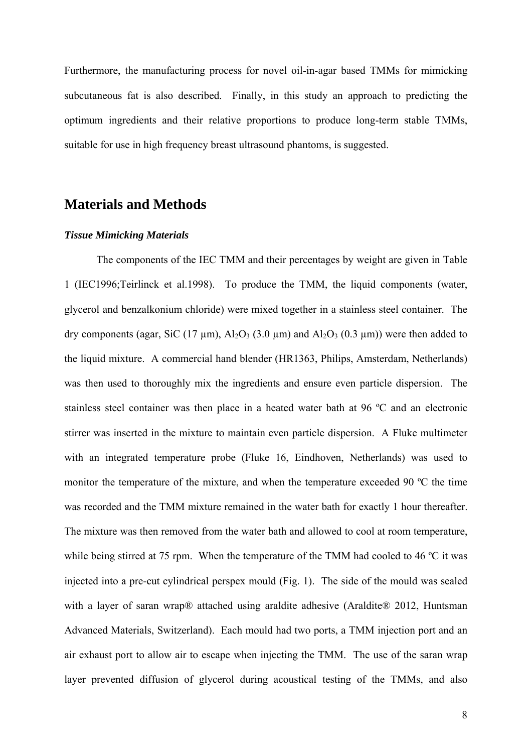Furthermore, the manufacturing process for novel oil-in-agar based TMMs for mimicking subcutaneous fat is also described. Finally, in this study an approach to predicting the optimum ingredients and their relative proportions to produce long-term stable TMMs, suitable for use in high frequency breast ultrasound phantoms, is suggested.

## **Materials and Methods**

#### *Tissue Mimicking Materials*

The components of the IEC TMM and their percentages by weight are given in Table 1 (IEC1996;Teirlinck et al.1998). To produce the TMM, the liquid components (water, glycerol and benzalkonium chloride) were mixed together in a stainless steel container. The dry components (agar, SiC (17  $\mu$ m), Al<sub>2</sub>O<sub>3</sub> (3.0  $\mu$ m) and Al<sub>2</sub>O<sub>3</sub> (0.3  $\mu$ m)) were then added to the liquid mixture. A commercial hand blender (HR1363, Philips, Amsterdam, Netherlands) was then used to thoroughly mix the ingredients and ensure even particle dispersion. The stainless steel container was then place in a heated water bath at 96 ºC and an electronic stirrer was inserted in the mixture to maintain even particle dispersion. A Fluke multimeter with an integrated temperature probe (Fluke 16, Eindhoven, Netherlands) was used to monitor the temperature of the mixture, and when the temperature exceeded 90 ºC the time was recorded and the TMM mixture remained in the water bath for exactly 1 hour thereafter. The mixture was then removed from the water bath and allowed to cool at room temperature, while being stirred at 75 rpm. When the temperature of the TMM had cooled to 46 °C it was injected into a pre-cut cylindrical perspex mould (Fig. 1). The side of the mould was sealed with a layer of saran wrap® attached using araldite adhesive (Araldite® 2012, Huntsman Advanced Materials, Switzerland). Each mould had two ports, a TMM injection port and an air exhaust port to allow air to escape when injecting the TMM. The use of the saran wrap layer prevented diffusion of glycerol during acoustical testing of the TMMs, and also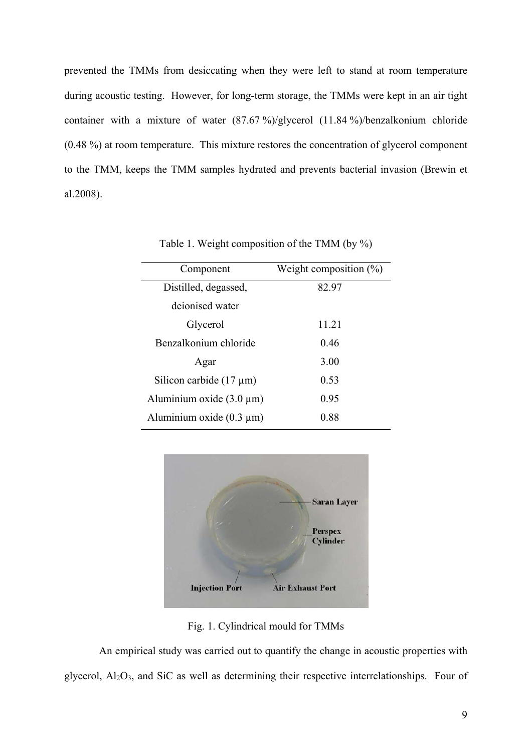prevented the TMMs from desiccating when they were left to stand at room temperature during acoustic testing. However, for long-term storage, the TMMs were kept in an air tight container with a mixture of water (87.67 %)/glycerol (11.84 %)/benzalkonium chloride (0.48 %) at room temperature. This mixture restores the concentration of glycerol component to the TMM, keeps the TMM samples hydrated and prevents bacterial invasion (Brewin et al.2008).

| Component                     | Weight composition $(\%)$ |
|-------------------------------|---------------------------|
| Distilled, degassed,          | 82.97                     |
| deionised water               |                           |
| Glycerol                      | 11.21                     |
| Benzalkonium chloride         | 0.46                      |
| Agar                          | 3.00                      |
| Silicon carbide $(17 \mu m)$  | 0.53                      |
| Aluminium oxide $(3.0 \mu m)$ | 0.95                      |
| Aluminium oxide $(0.3 \mu m)$ | 0.88                      |

Table 1. Weight composition of the TMM (by %)



Fig. 1. Cylindrical mould for TMMs

 An empirical study was carried out to quantify the change in acoustic properties with glycerol,  $Al_2O_3$ , and SiC as well as determining their respective interrelationships. Four of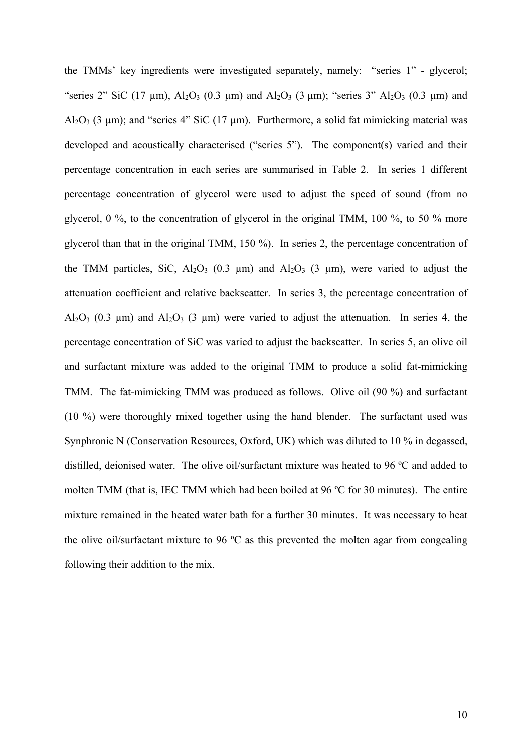the TMMs' key ingredients were investigated separately, namely: "series 1" - glycerol; "series 2" SiC (17  $\mu$ m), Al<sub>2</sub>O<sub>3</sub> (0.3  $\mu$ m) and Al<sub>2</sub>O<sub>3</sub> (3  $\mu$ m); "series 3" Al<sub>2</sub>O<sub>3</sub> (0.3  $\mu$ m) and Al<sub>2</sub>O<sub>3</sub> (3 µm); and "series 4" SiC (17 µm). Furthermore, a solid fat mimicking material was developed and acoustically characterised ("series 5"). The component(s) varied and their percentage concentration in each series are summarised in Table 2. In series 1 different percentage concentration of glycerol were used to adjust the speed of sound (from no glycerol, 0 %, to the concentration of glycerol in the original TMM, 100 %, to 50 % more glycerol than that in the original TMM, 150 %). In series 2, the percentage concentration of the TMM particles, SiC, Al<sub>2</sub>O<sub>3</sub> (0.3  $\mu$ m) and Al<sub>2</sub>O<sub>3</sub> (3  $\mu$ m), were varied to adjust the attenuation coefficient and relative backscatter. In series 3, the percentage concentration of Al<sub>2</sub>O<sub>3</sub> (0.3 µm) and Al<sub>2</sub>O<sub>3</sub> (3 µm) were varied to adjust the attenuation. In series 4, the percentage concentration of SiC was varied to adjust the backscatter. In series 5, an olive oil and surfactant mixture was added to the original TMM to produce a solid fat-mimicking TMM. The fat-mimicking TMM was produced as follows. Olive oil (90 %) and surfactant (10 %) were thoroughly mixed together using the hand blender. The surfactant used was Synphronic N (Conservation Resources, Oxford, UK) which was diluted to 10 % in degassed, distilled, deionised water. The olive oil/surfactant mixture was heated to 96 ºC and added to molten TMM (that is, IEC TMM which had been boiled at 96 ºC for 30 minutes). The entire mixture remained in the heated water bath for a further 30 minutes. It was necessary to heat the olive oil/surfactant mixture to 96 ºC as this prevented the molten agar from congealing following their addition to the mix.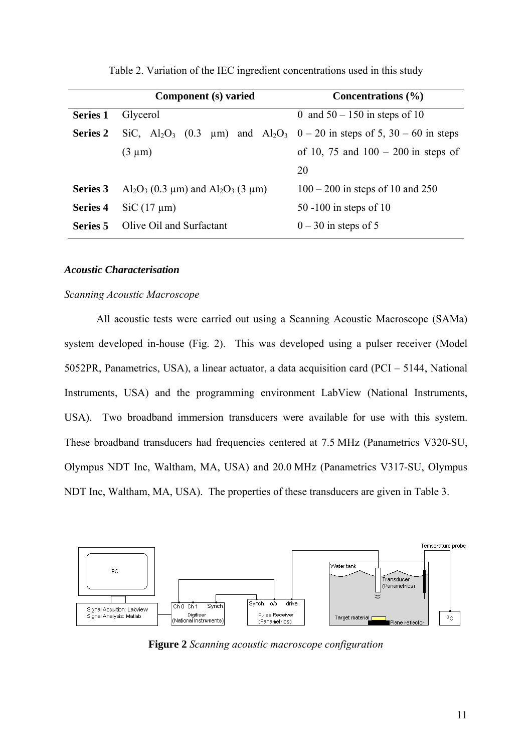|                 | Component (s) varied                                                                                                        | Concentrations $(\% )$                |  |
|-----------------|-----------------------------------------------------------------------------------------------------------------------------|---------------------------------------|--|
| <b>Series 1</b> | Glycerol                                                                                                                    | 0 and $50 - 150$ in steps of 10       |  |
| <b>Series 2</b> | SiC, Al <sub>2</sub> O <sub>3</sub> (0.3 $\mu$ m) and Al <sub>2</sub> O <sub>3</sub> 0 – 20 in steps of 5, 30 – 60 in steps |                                       |  |
|                 | $(3 \mu m)$                                                                                                                 | of 10, 75 and $100 - 200$ in steps of |  |
|                 |                                                                                                                             | 20                                    |  |
| Series 3        | $Al_2O_3$ (0.3 µm) and $Al_2O_3$ (3 µm)                                                                                     | $100 - 200$ in steps of 10 and 250    |  |
| Series 4        | $SiC (17 \mu m)$                                                                                                            | 50 -100 in steps of 10                |  |
| Series 5        | Olive Oil and Surfactant                                                                                                    | $0 - 30$ in steps of 5                |  |

Table 2. Variation of the IEC ingredient concentrations used in this study

#### *Acoustic Characterisation*

#### *Scanning Acoustic Macroscope*

All acoustic tests were carried out using a Scanning Acoustic Macroscope (SAMa) system developed in-house (Fig. 2). This was developed using a pulser receiver (Model 5052PR, Panametrics, USA), a linear actuator, a data acquisition card (PCI – 5144, National Instruments, USA) and the programming environment LabView (National Instruments, USA). Two broadband immersion transducers were available for use with this system. These broadband transducers had frequencies centered at 7.5 MHz (Panametrics V320-SU, Olympus NDT Inc, Waltham, MA, USA) and 20.0 MHz (Panametrics V317-SU, Olympus NDT Inc, Waltham, MA, USA). The properties of these transducers are given in Table 3.



**Figure 2** *Scanning acoustic macroscope configuration*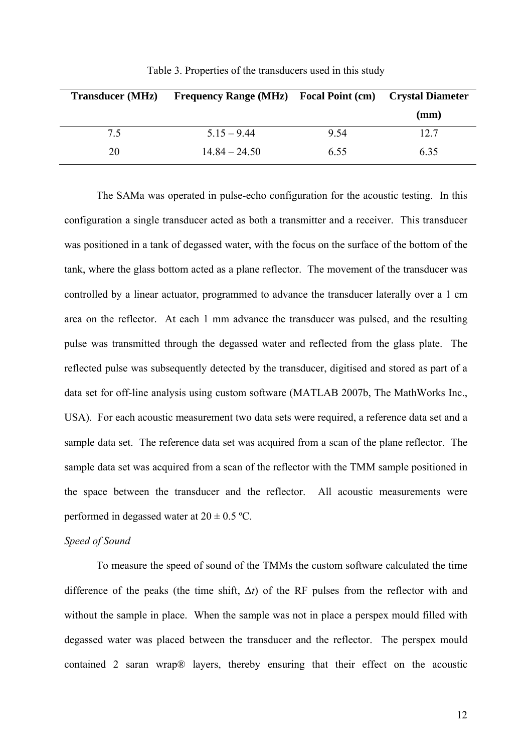| <b>Transducer</b> (MHz) | <b>Frequency Range (MHz)</b> Focal Point (cm) Crystal Diameter |      |      |
|-------------------------|----------------------------------------------------------------|------|------|
|                         |                                                                |      | (mm) |
| 7.5                     | $515 - 944$                                                    | 9.54 | 12.7 |
| 20                      | $1484 - 2450$                                                  | 6.55 | 6.35 |

Table 3. Properties of the transducers used in this study

The SAMa was operated in pulse-echo configuration for the acoustic testing. In this configuration a single transducer acted as both a transmitter and a receiver. This transducer was positioned in a tank of degassed water, with the focus on the surface of the bottom of the tank, where the glass bottom acted as a plane reflector. The movement of the transducer was controlled by a linear actuator, programmed to advance the transducer laterally over a 1 cm area on the reflector. At each 1 mm advance the transducer was pulsed, and the resulting pulse was transmitted through the degassed water and reflected from the glass plate. The reflected pulse was subsequently detected by the transducer, digitised and stored as part of a data set for off-line analysis using custom software (MATLAB 2007b, The MathWorks Inc., USA). For each acoustic measurement two data sets were required, a reference data set and a sample data set. The reference data set was acquired from a scan of the plane reflector. The sample data set was acquired from a scan of the reflector with the TMM sample positioned in the space between the transducer and the reflector. All acoustic measurements were performed in degassed water at  $20 \pm 0.5$  °C.

#### *Speed of Sound*

To measure the speed of sound of the TMMs the custom software calculated the time difference of the peaks (the time shift, Δ*t*) of the RF pulses from the reflector with and without the sample in place. When the sample was not in place a perspex mould filled with degassed water was placed between the transducer and the reflector. The perspex mould contained 2 saran wrap® layers, thereby ensuring that their effect on the acoustic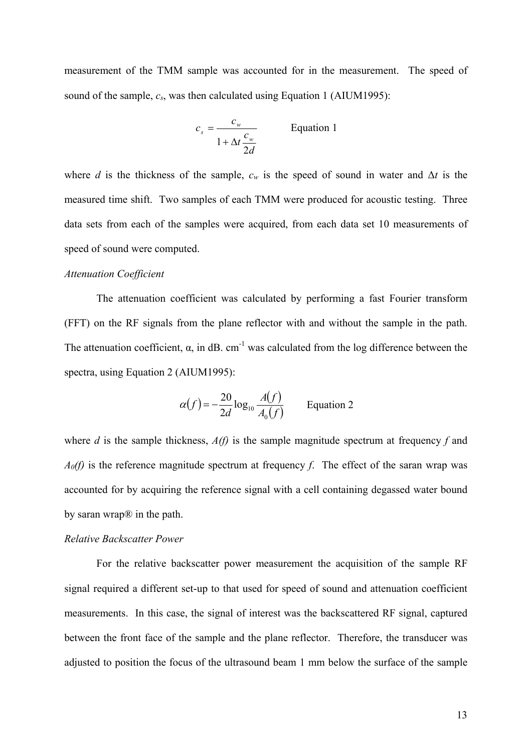measurement of the TMM sample was accounted for in the measurement. The speed of sound of the sample,  $c_s$ , was then calculated using Equation 1 (AIUM1995):

$$
c_s = \frac{c_w}{1 + \Delta t \frac{c_w}{2d}}
$$
 Equation 1

where *d* is the thickness of the sample,  $c_w$  is the speed of sound in water and  $\Delta t$  is the measured time shift. Two samples of each TMM were produced for acoustic testing. Three data sets from each of the samples were acquired, from each data set 10 measurements of speed of sound were computed.

#### *Attenuation Coefficient*

The attenuation coefficient was calculated by performing a fast Fourier transform (FFT) on the RF signals from the plane reflector with and without the sample in the path. The attenuation coefficient,  $\alpha$ , in dB. cm<sup>-1</sup> was calculated from the log difference between the spectra, using Equation 2 (AIUM1995):

$$
\alpha(f) = -\frac{20}{2d} \log_{10} \frac{A(f)}{A_0(f)}
$$
 Equation 2

where *d* is the sample thickness, *A(f)* is the sample magnitude spectrum at frequency *f* and *A0(f)* is the reference magnitude spectrum at frequency *f*. The effect of the saran wrap was accounted for by acquiring the reference signal with a cell containing degassed water bound by saran wrap® in the path.

#### *Relative Backscatter Power*

For the relative backscatter power measurement the acquisition of the sample RF signal required a different set-up to that used for speed of sound and attenuation coefficient measurements. In this case, the signal of interest was the backscattered RF signal, captured between the front face of the sample and the plane reflector. Therefore, the transducer was adjusted to position the focus of the ultrasound beam 1 mm below the surface of the sample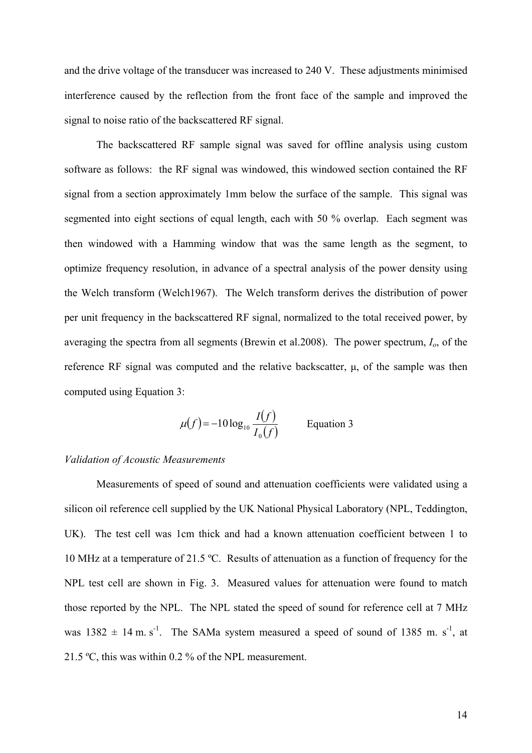and the drive voltage of the transducer was increased to 240 V. These adjustments minimised interference caused by the reflection from the front face of the sample and improved the signal to noise ratio of the backscattered RF signal.

The backscattered RF sample signal was saved for offline analysis using custom software as follows: the RF signal was windowed, this windowed section contained the RF signal from a section approximately 1mm below the surface of the sample. This signal was segmented into eight sections of equal length, each with 50 % overlap. Each segment was then windowed with a Hamming window that was the same length as the segment, to optimize frequency resolution, in advance of a spectral analysis of the power density using the Welch transform (Welch1967). The Welch transform derives the distribution of power per unit frequency in the backscattered RF signal, normalized to the total received power, by averaging the spectra from all segments (Brewin et al.2008). The power spectrum, *Io*, of the reference RF signal was computed and the relative backscatter, μ, of the sample was then computed using Equation 3:

$$
\mu(f) = -10\log_{10}\frac{I(f)}{I_0(f)}
$$
 Equation 3

#### *Validation of Acoustic Measurements*

Measurements of speed of sound and attenuation coefficients were validated using a silicon oil reference cell supplied by the UK National Physical Laboratory (NPL, Teddington, UK). The test cell was 1cm thick and had a known attenuation coefficient between 1 to 10 MHz at a temperature of 21.5 ºC. Results of attenuation as a function of frequency for the NPL test cell are shown in Fig. 3. Measured values for attenuation were found to match those reported by the NPL. The NPL stated the speed of sound for reference cell at 7 MHz was  $1382 \pm 14$  m. s<sup>-1</sup>. The SAMa system measured a speed of sound of 1385 m. s<sup>-1</sup>, at 21.5 ºC, this was within 0.2 % of the NPL measurement.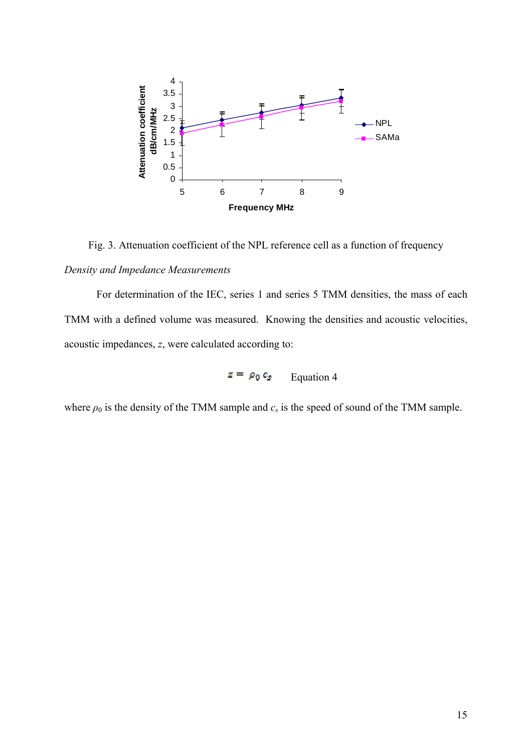

Fig. 3. Attenuation coefficient of the NPL reference cell as a function of frequency

### *Density and Impedance Measurements*

For determination of the IEC, series 1 and series 5 TMM densities, the mass of each TMM with a defined volume was measured. Knowing the densities and acoustic velocities, acoustic impedances, *z*, were calculated according to:

 $z = \rho_0 c_s$  Equation 4

where  $\rho_0$  is the density of the TMM sample and  $c_s$  is the speed of sound of the TMM sample.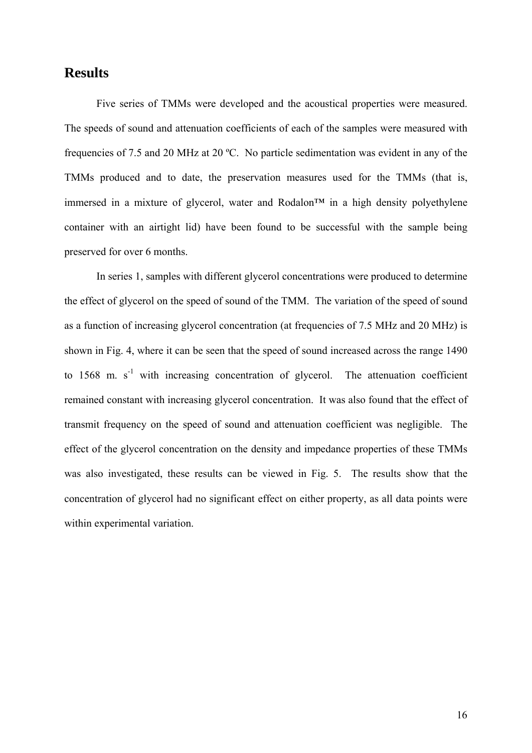## **Results**

Five series of TMMs were developed and the acoustical properties were measured. The speeds of sound and attenuation coefficients of each of the samples were measured with frequencies of 7.5 and 20 MHz at 20 ºC. No particle sedimentation was evident in any of the TMMs produced and to date, the preservation measures used for the TMMs (that is, immersed in a mixture of glycerol, water and Rodalon<sup>TM</sup> in a high density polyethylene container with an airtight lid) have been found to be successful with the sample being preserved for over 6 months.

In series 1, samples with different glycerol concentrations were produced to determine the effect of glycerol on the speed of sound of the TMM. The variation of the speed of sound as a function of increasing glycerol concentration (at frequencies of 7.5 MHz and 20 MHz) is shown in Fig. 4, where it can be seen that the speed of sound increased across the range 1490 to  $1568$  m. s<sup>-1</sup> with increasing concentration of glycerol. The attenuation coefficient remained constant with increasing glycerol concentration. It was also found that the effect of transmit frequency on the speed of sound and attenuation coefficient was negligible. The effect of the glycerol concentration on the density and impedance properties of these TMMs was also investigated, these results can be viewed in Fig. 5. The results show that the concentration of glycerol had no significant effect on either property, as all data points were within experimental variation.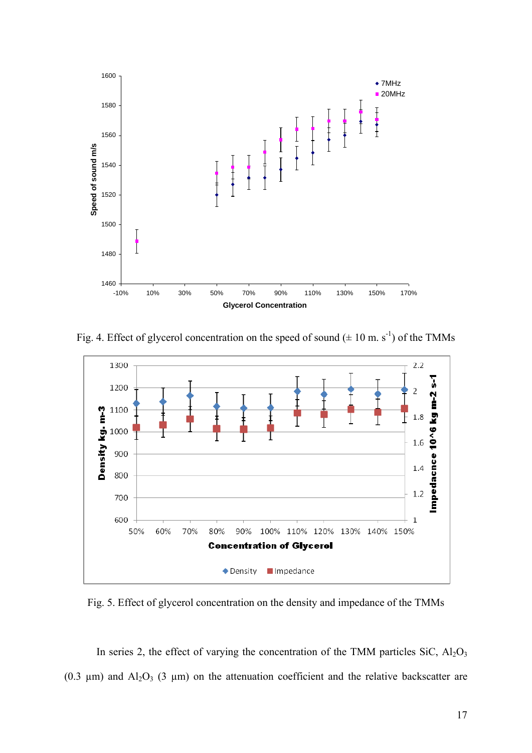

Fig. 4. Effect of glycerol concentration on the speed of sound ( $\pm 10$  m. s<sup>-1</sup>) of the TMMs



Fig. 5. Effect of glycerol concentration on the density and impedance of the TMMs

In series 2, the effect of varying the concentration of the TMM particles  $SiC$ ,  $Al<sub>2</sub>O<sub>3</sub>$ (0.3  $\mu$ m) and Al<sub>2</sub>O<sub>3</sub> (3  $\mu$ m) on the attenuation coefficient and the relative backscatter are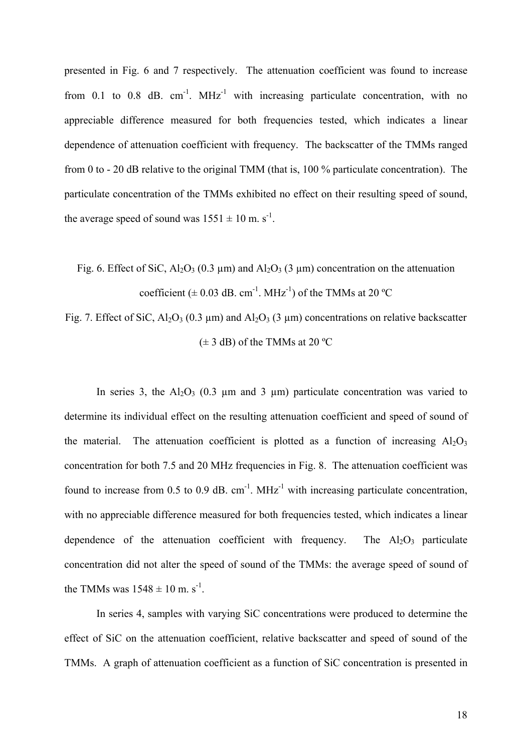presented in Fig. 6 and 7 respectively. The attenuation coefficient was found to increase from 0.1 to 0.8 dB,  $cm^{-1}$ . MHz<sup>-1</sup> with increasing particulate concentration, with no appreciable difference measured for both frequencies tested, which indicates a linear dependence of attenuation coefficient with frequency. The backscatter of the TMMs ranged from 0 to - 20 dB relative to the original TMM (that is, 100 % particulate concentration). The particulate concentration of the TMMs exhibited no effect on their resulting speed of sound, the average speed of sound was  $1551 \pm 10$  m. s<sup>-1</sup>.

Fig. 6. Effect of SiC,  $Al_2O_3$  (0.3 µm) and  $Al_2O_3$  (3 µm) concentration on the attenuation coefficient ( $\pm$  0.03 dB. cm<sup>-1</sup>. MHz<sup>-1</sup>) of the TMMs at 20 °C

Fig. 7. Effect of SiC,  $Al_2O_3$  (0.3 µm) and  $Al_2O_3$  (3 µm) concentrations on relative backscatter  $(\pm 3$  dB) of the TMMs at 20 °C

In series 3, the  $A<sub>2</sub>O<sub>3</sub>$  (0.3 µm and 3 µm) particulate concentration was varied to determine its individual effect on the resulting attenuation coefficient and speed of sound of the material. The attenuation coefficient is plotted as a function of increasing  $A<sub>1</sub>O<sub>3</sub>$ concentration for both 7.5 and 20 MHz frequencies in Fig. 8. The attenuation coefficient was found to increase from 0.5 to 0.9 dB.  $cm^{-1}$ . MHz<sup>-1</sup> with increasing particulate concentration, with no appreciable difference measured for both frequencies tested, which indicates a linear dependence of the attenuation coefficient with frequency. The  $Al_2O_3$  particulate concentration did not alter the speed of sound of the TMMs: the average speed of sound of the TMMs was  $1548 \pm 10$  m. s<sup>-1</sup>.

In series 4, samples with varying SiC concentrations were produced to determine the effect of SiC on the attenuation coefficient, relative backscatter and speed of sound of the TMMs. A graph of attenuation coefficient as a function of SiC concentration is presented in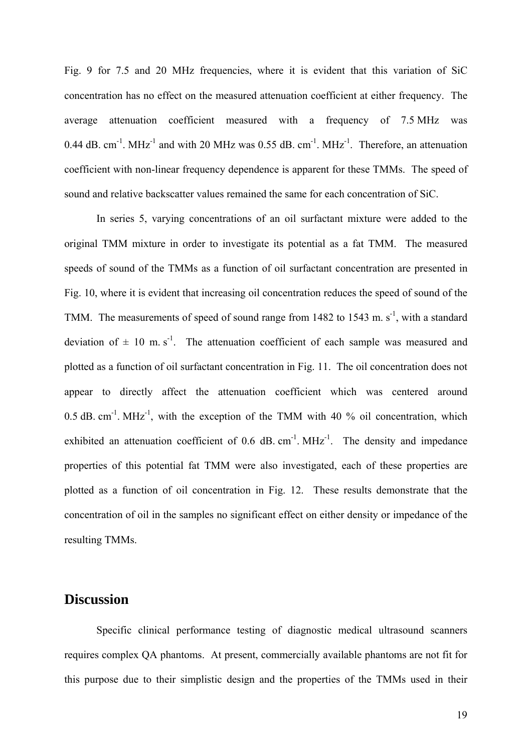Fig. 9 for 7.5 and 20 MHz frequencies, where it is evident that this variation of SiC concentration has no effect on the measured attenuation coefficient at either frequency. The average attenuation coefficient measured with a frequency of 7.5 MHz was 0.44 dB. cm<sup>-1</sup>. MHz<sup>-1</sup> and with 20 MHz was 0.55 dB. cm<sup>-1</sup>. MHz<sup>-1</sup>. Therefore, an attenuation coefficient with non-linear frequency dependence is apparent for these TMMs. The speed of sound and relative backscatter values remained the same for each concentration of SiC.

In series 5, varying concentrations of an oil surfactant mixture were added to the original TMM mixture in order to investigate its potential as a fat TMM. The measured speeds of sound of the TMMs as a function of oil surfactant concentration are presented in Fig. 10, where it is evident that increasing oil concentration reduces the speed of sound of the TMM. The measurements of speed of sound range from 1482 to 1543 m.  $s^{-1}$ , with a standard deviation of  $\pm$  10 m. s<sup>-1</sup>. The attenuation coefficient of each sample was measured and plotted as a function of oil surfactant concentration in Fig. 11. The oil concentration does not appear to directly affect the attenuation coefficient which was centered around  $0.5$  dB. cm<sup>-1</sup>. MHz<sup>-1</sup>, with the exception of the TMM with 40 % oil concentration, which exhibited an attenuation coefficient of  $0.6$  dB. cm<sup>-1</sup>. MHz<sup>-1</sup>. The density and impedance properties of this potential fat TMM were also investigated, each of these properties are plotted as a function of oil concentration in Fig. 12. These results demonstrate that the concentration of oil in the samples no significant effect on either density or impedance of the resulting TMMs.

## **Discussion**

Specific clinical performance testing of diagnostic medical ultrasound scanners requires complex QA phantoms. At present, commercially available phantoms are not fit for this purpose due to their simplistic design and the properties of the TMMs used in their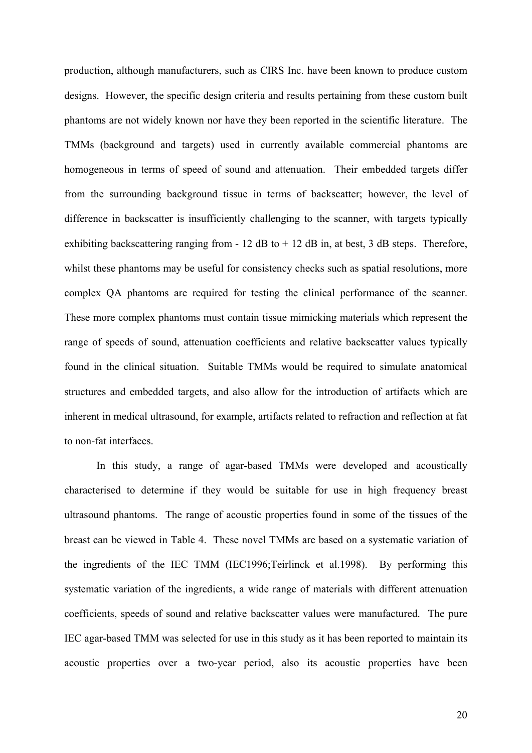production, although manufacturers, such as CIRS Inc. have been known to produce custom designs. However, the specific design criteria and results pertaining from these custom built phantoms are not widely known nor have they been reported in the scientific literature. The TMMs (background and targets) used in currently available commercial phantoms are homogeneous in terms of speed of sound and attenuation. Their embedded targets differ from the surrounding background tissue in terms of backscatter; however, the level of difference in backscatter is insufficiently challenging to the scanner, with targets typically exhibiting backscattering ranging from  $-12$  dB to  $+12$  dB in, at best, 3 dB steps. Therefore, whilst these phantoms may be useful for consistency checks such as spatial resolutions, more complex QA phantoms are required for testing the clinical performance of the scanner. These more complex phantoms must contain tissue mimicking materials which represent the range of speeds of sound, attenuation coefficients and relative backscatter values typically found in the clinical situation. Suitable TMMs would be required to simulate anatomical structures and embedded targets, and also allow for the introduction of artifacts which are inherent in medical ultrasound, for example, artifacts related to refraction and reflection at fat to non-fat interfaces.

In this study, a range of agar-based TMMs were developed and acoustically characterised to determine if they would be suitable for use in high frequency breast ultrasound phantoms. The range of acoustic properties found in some of the tissues of the breast can be viewed in Table 4. These novel TMMs are based on a systematic variation of the ingredients of the IEC TMM (IEC1996;Teirlinck et al.1998). By performing this systematic variation of the ingredients, a wide range of materials with different attenuation coefficients, speeds of sound and relative backscatter values were manufactured. The pure IEC agar-based TMM was selected for use in this study as it has been reported to maintain its acoustic properties over a two-year period, also its acoustic properties have been

20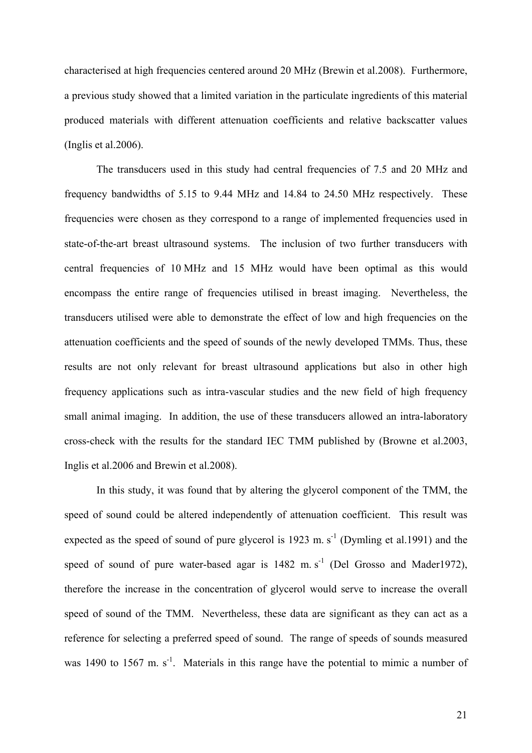characterised at high frequencies centered around 20 MHz (Brewin et al.2008). Furthermore, a previous study showed that a limited variation in the particulate ingredients of this material produced materials with different attenuation coefficients and relative backscatter values (Inglis et al.2006).

The transducers used in this study had central frequencies of 7.5 and 20 MHz and frequency bandwidths of 5.15 to 9.44 MHz and 14.84 to 24.50 MHz respectively. These frequencies were chosen as they correspond to a range of implemented frequencies used in state-of-the-art breast ultrasound systems. The inclusion of two further transducers with central frequencies of 10 MHz and 15 MHz would have been optimal as this would encompass the entire range of frequencies utilised in breast imaging. Nevertheless, the transducers utilised were able to demonstrate the effect of low and high frequencies on the attenuation coefficients and the speed of sounds of the newly developed TMMs. Thus, these results are not only relevant for breast ultrasound applications but also in other high frequency applications such as intra-vascular studies and the new field of high frequency small animal imaging. In addition, the use of these transducers allowed an intra-laboratory cross-check with the results for the standard IEC TMM published by (Browne et al.2003, Inglis et al.2006 and Brewin et al.2008).

In this study, it was found that by altering the glycerol component of the TMM, the speed of sound could be altered independently of attenuation coefficient. This result was expected as the speed of sound of pure glycerol is  $1923 \text{ m. s}^{-1}$  (Dymling et al.1991) and the speed of sound of pure water-based agar is  $1482 \text{ m.s}^{-1}$  (Del Grosso and Mader1972), therefore the increase in the concentration of glycerol would serve to increase the overall speed of sound of the TMM. Nevertheless, these data are significant as they can act as a reference for selecting a preferred speed of sound. The range of speeds of sounds measured was 1490 to 1567 m.  $s<sup>-1</sup>$ . Materials in this range have the potential to mimic a number of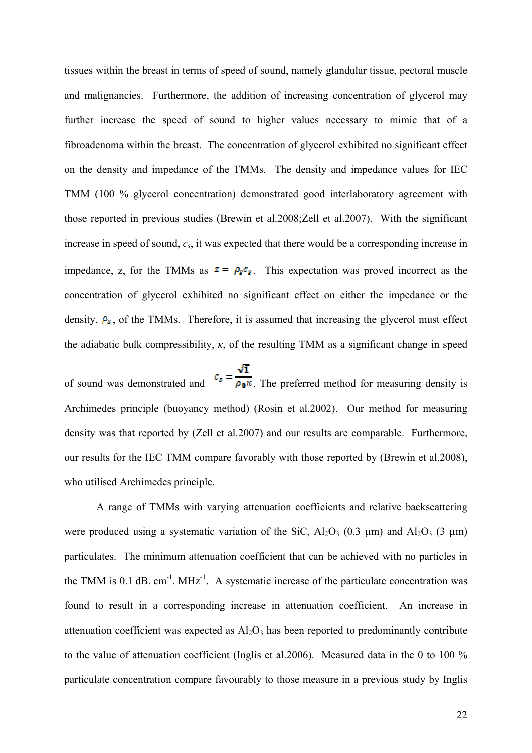tissues within the breast in terms of speed of sound, namely glandular tissue, pectoral muscle and malignancies. Furthermore, the addition of increasing concentration of glycerol may further increase the speed of sound to higher values necessary to mimic that of a fibroadenoma within the breast. The concentration of glycerol exhibited no significant effect on the density and impedance of the TMMs. The density and impedance values for IEC TMM (100 % glycerol concentration) demonstrated good interlaboratory agreement with those reported in previous studies (Brewin et al.2008;Zell et al.2007). With the significant increase in speed of sound, *cs*, it was expected that there would be a corresponding increase in impedance, z, for the TMMs as  $z = \rho_s c_s$ . This expectation was proved incorrect as the concentration of glycerol exhibited no significant effect on either the impedance or the density,  $P_{\sigma}$ , of the TMMs. Therefore, it is assumed that increasing the glycerol must effect the adiabatic bulk compressibility,  $\kappa$ , of the resulting TMM as a significant change in speed

of sound was demonstrated and  $c_s = \frac{\sqrt{1}}{\rho_0 \kappa}$ . The preferred method for measuring density is Archimedes principle (buoyancy method) (Rosin et al.2002). Our method for measuring density was that reported by (Zell et al.2007) and our results are comparable. Furthermore, our results for the IEC TMM compare favorably with those reported by (Brewin et al.2008), who utilised Archimedes principle.

 A range of TMMs with varying attenuation coefficients and relative backscattering were produced using a systematic variation of the SiC,  $Al_2O_3$  (0.3 µm) and  $Al_2O_3$  (3 µm) particulates. The minimum attenuation coefficient that can be achieved with no particles in the TMM is 0.1 dB.  $cm^{-1}$ . MHz<sup>-1</sup>. A systematic increase of the particulate concentration was found to result in a corresponding increase in attenuation coefficient. An increase in attenuation coefficient was expected as  $Al_2O_3$  has been reported to predominantly contribute to the value of attenuation coefficient (Inglis et al.2006). Measured data in the 0 to 100 % particulate concentration compare favourably to those measure in a previous study by Inglis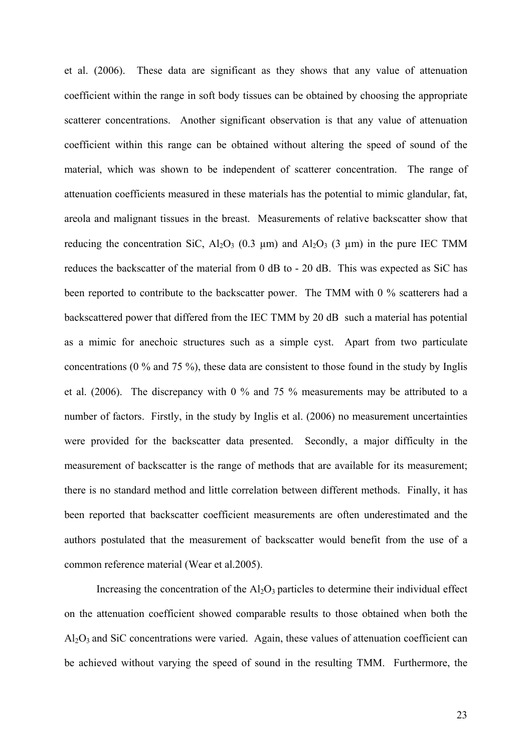et al. (2006). These data are significant as they shows that any value of attenuation coefficient within the range in soft body tissues can be obtained by choosing the appropriate scatterer concentrations. Another significant observation is that any value of attenuation coefficient within this range can be obtained without altering the speed of sound of the material, which was shown to be independent of scatterer concentration. The range of attenuation coefficients measured in these materials has the potential to mimic glandular, fat, areola and malignant tissues in the breast. Measurements of relative backscatter show that reducing the concentration SiC,  $A<sub>2</sub>O<sub>3</sub>$  (0.3 µm) and  $A<sub>2</sub>O<sub>3</sub>$  (3 µm) in the pure IEC TMM reduces the backscatter of the material from 0 dB to - 20 dB. This was expected as SiC has been reported to contribute to the backscatter power. The TMM with 0 % scatterers had a backscattered power that differed from the IEC TMM by 20 dB such a material has potential as a mimic for anechoic structures such as a simple cyst. Apart from two particulate concentrations (0 % and 75 %), these data are consistent to those found in the study by Inglis et al. (2006). The discrepancy with 0 % and 75 % measurements may be attributed to a number of factors. Firstly, in the study by Inglis et al. (2006) no measurement uncertainties were provided for the backscatter data presented. Secondly, a major difficulty in the measurement of backscatter is the range of methods that are available for its measurement; there is no standard method and little correlation between different methods. Finally, it has been reported that backscatter coefficient measurements are often underestimated and the authors postulated that the measurement of backscatter would benefit from the use of a common reference material (Wear et al.2005).

Increasing the concentration of the  $Al_2O_3$  particles to determine their individual effect on the attenuation coefficient showed comparable results to those obtained when both the  $Al<sub>2</sub>O<sub>3</sub>$  and SiC concentrations were varied. Again, these values of attenuation coefficient can be achieved without varying the speed of sound in the resulting TMM. Furthermore, the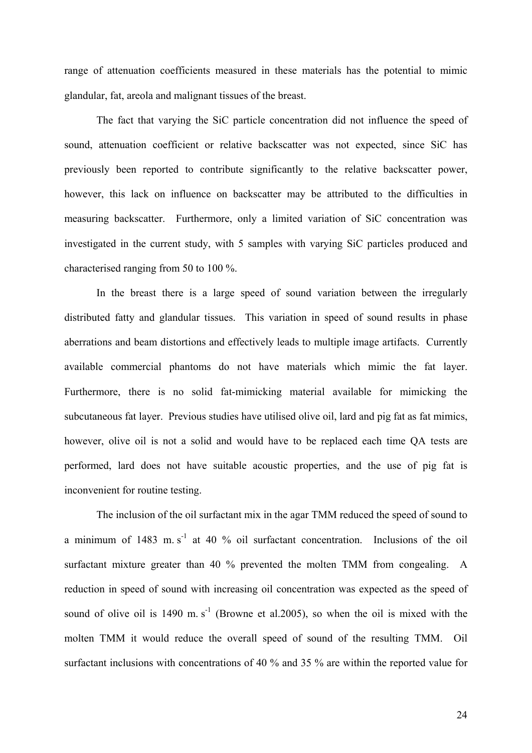range of attenuation coefficients measured in these materials has the potential to mimic glandular, fat, areola and malignant tissues of the breast.

The fact that varying the SiC particle concentration did not influence the speed of sound, attenuation coefficient or relative backscatter was not expected, since SiC has previously been reported to contribute significantly to the relative backscatter power, however, this lack on influence on backscatter may be attributed to the difficulties in measuring backscatter. Furthermore, only a limited variation of SiC concentration was investigated in the current study, with 5 samples with varying SiC particles produced and characterised ranging from 50 to 100 %.

In the breast there is a large speed of sound variation between the irregularly distributed fatty and glandular tissues. This variation in speed of sound results in phase aberrations and beam distortions and effectively leads to multiple image artifacts. Currently available commercial phantoms do not have materials which mimic the fat layer. Furthermore, there is no solid fat-mimicking material available for mimicking the subcutaneous fat layer. Previous studies have utilised olive oil, lard and pig fat as fat mimics, however, olive oil is not a solid and would have to be replaced each time QA tests are performed, lard does not have suitable acoustic properties, and the use of pig fat is inconvenient for routine testing.

The inclusion of the oil surfactant mix in the agar TMM reduced the speed of sound to a minimum of  $1483 \text{ m.s}^{-1}$  at 40 % oil surfactant concentration. Inclusions of the oil surfactant mixture greater than 40 % prevented the molten TMM from congealing. A reduction in speed of sound with increasing oil concentration was expected as the speed of sound of olive oil is 1490 m.  $s^{-1}$  (Browne et al. 2005), so when the oil is mixed with the molten TMM it would reduce the overall speed of sound of the resulting TMM. Oil surfactant inclusions with concentrations of 40 % and 35 % are within the reported value for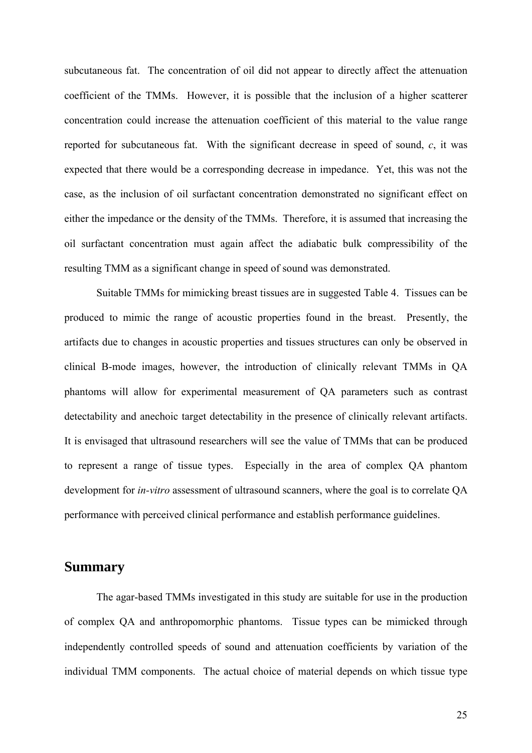subcutaneous fat. The concentration of oil did not appear to directly affect the attenuation coefficient of the TMMs. However, it is possible that the inclusion of a higher scatterer concentration could increase the attenuation coefficient of this material to the value range reported for subcutaneous fat. With the significant decrease in speed of sound, *c*, it was expected that there would be a corresponding decrease in impedance. Yet, this was not the case, as the inclusion of oil surfactant concentration demonstrated no significant effect on either the impedance or the density of the TMMs. Therefore, it is assumed that increasing the oil surfactant concentration must again affect the adiabatic bulk compressibility of the resulting TMM as a significant change in speed of sound was demonstrated.

 Suitable TMMs for mimicking breast tissues are in suggested Table 4. Tissues can be produced to mimic the range of acoustic properties found in the breast. Presently, the artifacts due to changes in acoustic properties and tissues structures can only be observed in clinical B-mode images, however, the introduction of clinically relevant TMMs in QA phantoms will allow for experimental measurement of QA parameters such as contrast detectability and anechoic target detectability in the presence of clinically relevant artifacts. It is envisaged that ultrasound researchers will see the value of TMMs that can be produced to represent a range of tissue types. Especially in the area of complex QA phantom development for *in-vitro* assessment of ultrasound scanners, where the goal is to correlate QA performance with perceived clinical performance and establish performance guidelines.

### **Summary**

The agar-based TMMs investigated in this study are suitable for use in the production of complex QA and anthropomorphic phantoms. Tissue types can be mimicked through independently controlled speeds of sound and attenuation coefficients by variation of the individual TMM components. The actual choice of material depends on which tissue type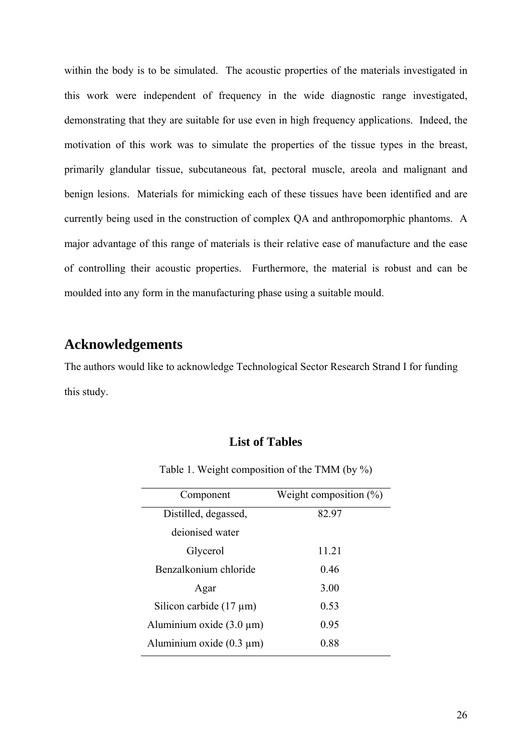within the body is to be simulated. The acoustic properties of the materials investigated in this work were independent of frequency in the wide diagnostic range investigated, demonstrating that they are suitable for use even in high frequency applications. Indeed, the motivation of this work was to simulate the properties of the tissue types in the breast, primarily glandular tissue, subcutaneous fat, pectoral muscle, areola and malignant and benign lesions. Materials for mimicking each of these tissues have been identified and are currently being used in the construction of complex QA and anthropomorphic phantoms. A major advantage of this range of materials is their relative ease of manufacture and the ease of controlling their acoustic properties. Furthermore, the material is robust and can be moulded into any form in the manufacturing phase using a suitable mould.

## **Acknowledgements**

The authors would like to acknowledge Technological Sector Research Strand I for funding this study.

#### **List of Tables**

| Component                     | Weight composition $(\%)$ |
|-------------------------------|---------------------------|
| Distilled, degassed,          | 82.97                     |
| deionised water               |                           |
| Glycerol                      | 11.21                     |
| Benzalkonium chloride         | 0.46                      |
| Agar                          | 3.00                      |
| Silicon carbide $(17 \mu m)$  | 0.53                      |
| Aluminium oxide $(3.0 \mu m)$ | 0.95                      |
| Aluminium oxide $(0.3 \mu m)$ | 0.88                      |

Table 1. Weight composition of the TMM (by %)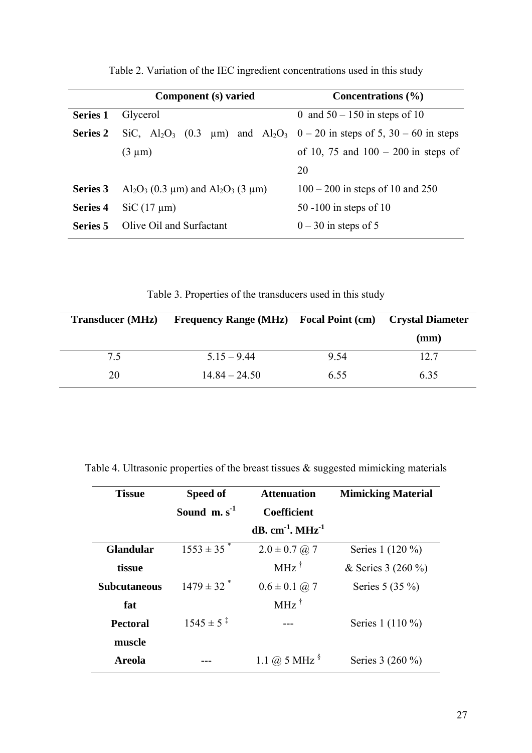|                 | Component (s) varied                                                                                                        | Concentrations $(\% )$                |  |
|-----------------|-----------------------------------------------------------------------------------------------------------------------------|---------------------------------------|--|
| <b>Series 1</b> | Glycerol                                                                                                                    | 0 and $50 - 150$ in steps of 10       |  |
| <b>Series 2</b> | SiC, Al <sub>2</sub> O <sub>3</sub> (0.3 $\mu$ m) and Al <sub>2</sub> O <sub>3</sub> 0 – 20 in steps of 5, 30 – 60 in steps |                                       |  |
|                 | $(3 \mu m)$                                                                                                                 | of 10, 75 and $100 - 200$ in steps of |  |
|                 |                                                                                                                             | 20                                    |  |
| Series 3        | Al <sub>2</sub> O <sub>3</sub> (0.3 $\mu$ m) and Al <sub>2</sub> O <sub>3</sub> (3 $\mu$ m)                                 | $100 - 200$ in steps of 10 and 250    |  |
| Series 4        | $SiC (17 \mu m)$                                                                                                            | 50 -100 in steps of 10                |  |
| Series 5        | Olive Oil and Surfactant                                                                                                    | $0 - 30$ in steps of 5                |  |

Table 2. Variation of the IEC ingredient concentrations used in this study

Table 3. Properties of the transducers used in this study

| <b>Transducer</b> (MHz) | <b>Frequency Range (MHz)</b> Focal Point (cm) Crystal Diameter |      |      |
|-------------------------|----------------------------------------------------------------|------|------|
|                         |                                                                |      | (mm) |
| 7.5                     | $515 - 944$                                                    | 9.54 | 12.7 |
| 20                      | $14.84 - 24.50$                                                | 6.55 | 6.35 |

|  |  |  | Table 4. Ultrasonic properties of the breast tissues $\&$ suggested mimicking materials |  |
|--|--|--|-----------------------------------------------------------------------------------------|--|
|  |  |  |                                                                                         |  |
|  |  |  |                                                                                         |  |
|  |  |  |                                                                                         |  |

| <b>Tissue</b>       | Speed of                   | <b>Attenuation</b>                          | <b>Mimicking Material</b> |
|---------------------|----------------------------|---------------------------------------------|---------------------------|
|                     | Sound $m. s-1$             | <b>Coefficient</b>                          |                           |
|                     |                            | $dB$ , cm <sup>-1</sup> , MHz <sup>-1</sup> |                           |
| <b>Glandular</b>    | $1553 \pm 35$ <sup>*</sup> | $2.0 \pm 0.7$ (a) 7                         | Series 1 (120 %)          |
| tissue              |                            | $MHz$ <sup>†</sup>                          | & Series 3 (260 %)        |
| <b>Subcutaneous</b> | $1479 \pm 32$ <sup>*</sup> | $0.6 \pm 0.1$ (a) 7                         | Series $5(35%)$           |
| fat                 |                            | $MHz$ <sup>†</sup>                          |                           |
| <b>Pectoral</b>     | $1545 \pm 5^{\ddagger}$    |                                             | Series 1 (110 %)          |
| muscle              |                            |                                             |                           |
| <b>Areola</b>       |                            | 1.1 @ 5 MHz $\frac{8}{3}$                   | Series 3 (260 %)          |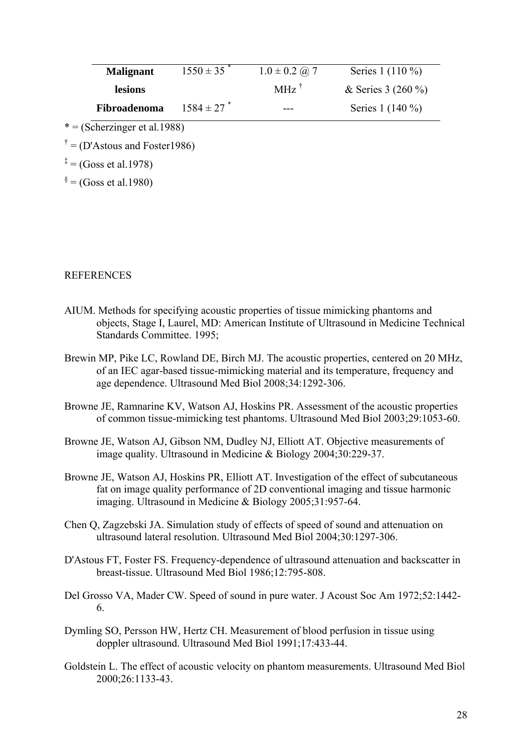| <b>Malignant</b> | $1550 \pm 35$ | $1.0 \pm 0.2$ ( <i>a</i> ) 7 | Series 1 (110 %)     |
|------------------|---------------|------------------------------|----------------------|
| <b>lesions</b>   |               | $MHz$ <sup>T</sup>           | & Series 3 $(260\%)$ |
| Fibroadenoma     | $1584 \pm 27$ | ---                          | Series 1 (140 %)     |

- $* = (Scherzinger et al.1988)$
- $\phi^{\dagger}$  = (D'Astous and Foster 1986)
- $* = (Goss et al.1978)$

 $\delta$  = (Goss et al.1980)

#### REFERENCES

- AIUM. Methods for specifying acoustic properties of tissue mimicking phantoms and objects, Stage I, Laurel, MD: American Institute of Ultrasound in Medicine Technical Standards Committee. 1995;
- Brewin MP, Pike LC, Rowland DE, Birch MJ. The acoustic properties, centered on 20 MHz, of an IEC agar-based tissue-mimicking material and its temperature, frequency and age dependence. Ultrasound Med Biol 2008;34:1292-306.
- Browne JE, Ramnarine KV, Watson AJ, Hoskins PR. Assessment of the acoustic properties of common tissue-mimicking test phantoms. Ultrasound Med Biol 2003;29:1053-60.
- Browne JE, Watson AJ, Gibson NM, Dudley NJ, Elliott AT. Objective measurements of image quality. Ultrasound in Medicine & Biology 2004;30:229-37.
- Browne JE, Watson AJ, Hoskins PR, Elliott AT. Investigation of the effect of subcutaneous fat on image quality performance of 2D conventional imaging and tissue harmonic imaging. Ultrasound in Medicine & Biology 2005;31:957-64.
- Chen Q, Zagzebski JA. Simulation study of effects of speed of sound and attenuation on ultrasound lateral resolution. Ultrasound Med Biol 2004;30:1297-306.
- D'Astous FT, Foster FS. Frequency-dependence of ultrasound attenuation and backscatter in breast-tissue. Ultrasound Med Biol 1986;12:795-808.
- Del Grosso VA, Mader CW. Speed of sound in pure water. J Acoust Soc Am 1972;52:1442- 6.
- Dymling SO, Persson HW, Hertz CH. Measurement of blood perfusion in tissue using doppler ultrasound. Ultrasound Med Biol 1991;17:433-44.
- Goldstein L. The effect of acoustic velocity on phantom measurements. Ultrasound Med Biol 2000;26:1133-43.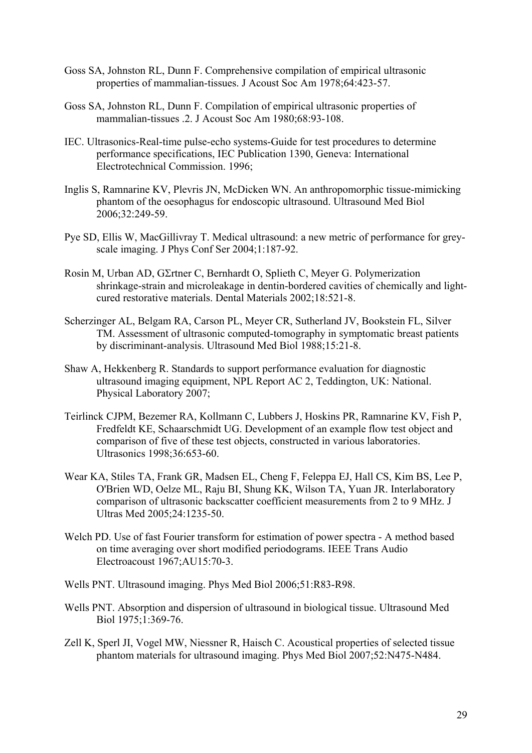- Goss SA, Johnston RL, Dunn F. Comprehensive compilation of empirical ultrasonic properties of mammalian-tissues. J Acoust Soc Am 1978;64:423-57.
- Goss SA, Johnston RL, Dunn F. Compilation of empirical ultrasonic properties of mammalian-tissues .2. J Acoust Soc Am 1980;68:93-108.
- IEC. Ultrasonics-Real-time pulse-echo systems-Guide for test procedures to determine performance specifications, IEC Publication 1390, Geneva: International Electrotechnical Commission. 1996;
- Inglis S, Ramnarine KV, Plevris JN, McDicken WN. An anthropomorphic tissue-mimicking phantom of the oesophagus for endoscopic ultrasound. Ultrasound Med Biol 2006;32:249-59.
- Pye SD, Ellis W, MacGillivray T. Medical ultrasound: a new metric of performance for greyscale imaging. J Phys Conf Ser 2004;1:187-92.
- Rosin M, Urban AD, GΣrtner C, Bernhardt O, Splieth C, Meyer G. Polymerization shrinkage-strain and microleakage in dentin-bordered cavities of chemically and lightcured restorative materials. Dental Materials 2002;18:521-8.
- Scherzinger AL, Belgam RA, Carson PL, Meyer CR, Sutherland JV, Bookstein FL, Silver TM. Assessment of ultrasonic computed-tomography in symptomatic breast patients by discriminant-analysis. Ultrasound Med Biol 1988;15:21-8.
- Shaw A, Hekkenberg R. Standards to support performance evaluation for diagnostic ultrasound imaging equipment, NPL Report AC 2, Teddington, UK: National. Physical Laboratory 2007;
- Teirlinck CJPM, Bezemer RA, Kollmann C, Lubbers J, Hoskins PR, Ramnarine KV, Fish P, Fredfeldt KE, Schaarschmidt UG. Development of an example flow test object and comparison of five of these test objects, constructed in various laboratories. Ultrasonics 1998;36:653-60.
- Wear KA, Stiles TA, Frank GR, Madsen EL, Cheng F, Feleppa EJ, Hall CS, Kim BS, Lee P, O'Brien WD, Oelze ML, Raju BI, Shung KK, Wilson TA, Yuan JR. Interlaboratory comparison of ultrasonic backscatter coefficient measurements from 2 to 9 MHz. J Ultras Med 2005;24:1235-50.
- Welch PD. Use of fast Fourier transform for estimation of power spectra A method based on time averaging over short modified periodograms. IEEE Trans Audio Electroacoust 1967;AU15:70-3.
- Wells PNT. Ultrasound imaging. Phys Med Biol 2006;51:R83-R98.
- Wells PNT. Absorption and dispersion of ultrasound in biological tissue. Ultrasound Med Biol 1975;1:369-76.
- Zell K, Sperl JI, Vogel MW, Niessner R, Haisch C. Acoustical properties of selected tissue phantom materials for ultrasound imaging. Phys Med Biol 2007;52:N475-N484.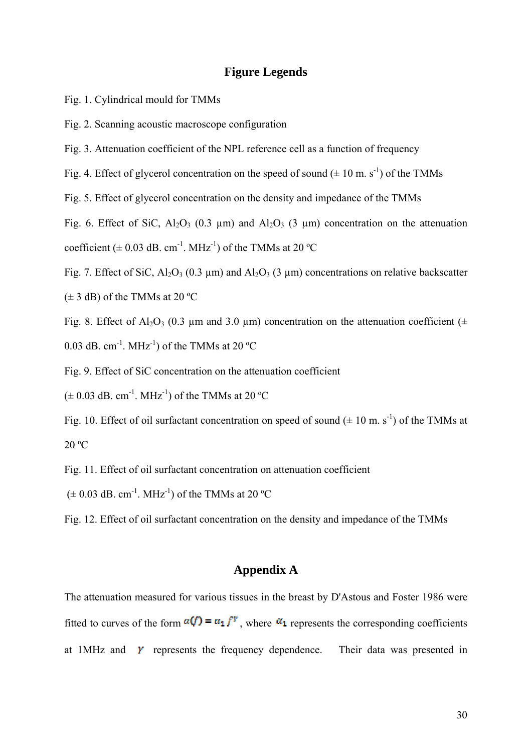#### **Figure Legends**

- Fig. 1. Cylindrical mould for TMMs
- Fig. 2. Scanning acoustic macroscope configuration
- Fig. 3. Attenuation coefficient of the NPL reference cell as a function of frequency
- Fig. 4. Effect of glycerol concentration on the speed of sound  $(\pm 10 \text{ m. s}^{-1})$  of the TMMs
- Fig. 5. Effect of glycerol concentration on the density and impedance of the TMMs

Fig. 6. Effect of SiC, Al<sub>2</sub>O<sub>3</sub> (0.3  $\mu$ m) and Al<sub>2</sub>O<sub>3</sub> (3  $\mu$ m) concentration on the attenuation coefficient ( $\pm$  0.03 dB. cm<sup>-1</sup>. MHz<sup>-1</sup>) of the TMMs at 20 °C

Fig. 7. Effect of SiC,  $Al_2O_3$  (0.3 µm) and  $Al_2O_3$  (3 µm) concentrations on relative backscatter  $(\pm 3$  dB) of the TMMs at 20 °C

Fig. 8. Effect of Al<sub>2</sub>O<sub>3</sub> (0.3 µm and 3.0 µm) concentration on the attenuation coefficient ( $\pm$ 0.03 dB. cm<sup>-1</sup>. MHz<sup>-1</sup>) of the TMMs at 20  $^{\circ}$ C

Fig. 9. Effect of SiC concentration on the attenuation coefficient

 $(\pm 0.03$  dB. cm<sup>-1</sup>. MHz<sup>-1</sup>) of the TMMs at 20 °C

Fig. 10. Effect of oil surfactant concentration on speed of sound  $(\pm 10 \text{ m. s}^{-1})$  of the TMMs at 20 ºC

Fig. 11. Effect of oil surfactant concentration on attenuation coefficient

 $(\pm 0.03$  dB. cm<sup>-1</sup>. MHz<sup>-1</sup>) of the TMMs at 20 °C

Fig. 12. Effect of oil surfactant concentration on the density and impedance of the TMMs

#### **Appendix A**

The attenuation measured for various tissues in the breast by D'Astous and Foster 1986 were fitted to curves of the form  $\alpha(f) = \alpha_1 f^r$  where  $\alpha_1$  represents the corresponding coefficients at 1MHz and  $\gamma$  represents the frequency dependence. Their data was presented in